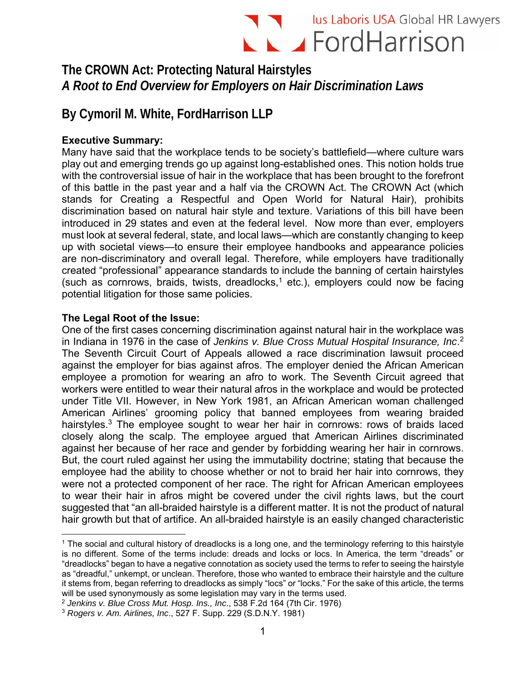# Ius Laboris USA Global HR Lawyers

## **The CROWN Act: Protecting Natural Hairstyles**  *A Root to End Overview for Employers on Hair Discrimination Laws*

# **By Cymoril M. White, FordHarrison LLP**

### **Executive Summary:**

Many have said that the workplace tends to be society's battlefield—where culture wars play out and emerging trends go up against long-established ones. This notion holds true with the controversial issue of hair in the workplace that has been brought to the forefront of this battle in the past year and a half via the CROWN Act. The CROWN Act (which stands for Creating a Respectful and Open World for Natural Hair), prohibits discrimination based on natural hair style and texture. Variations of this bill have been introduced in 29 states and even at the federal level. Now more than ever, employers must look at several federal, state, and local laws—which are constantly changing to keep up with societal views—to ensure their employee handbooks and appearance policies are non-discriminatory and overall legal. Therefore, while employers have traditionally created "professional" appearance standards to include the banning of certain hairstyles (such as cornrows, braids, twists, dreadlocks,<sup>1</sup> etc.), employers could now be facing potential litigation for those same policies.

### **The Legal Root of the Issue:**

 $\overline{a}$ 

One of the first cases concerning discrimination against natural hair in the workplace was in Indiana in 1976 in the case of *Jenkins v. Blue Cross Mutual Hospital Insurance, Inc*. 2 The Seventh Circuit Court of Appeals allowed a race discrimination lawsuit proceed against the employer for bias against afros. The employer denied the African American employee a promotion for wearing an afro to work. The Seventh Circuit agreed that workers were entitled to wear their natural afros in the workplace and would be protected under Title VII. However, in New York 1981, an African American woman challenged American Airlines' grooming policy that banned employees from wearing braided hairstyles.<sup>3</sup> The employee sought to wear her hair in cornrows: rows of braids laced closely along the scalp. The employee argued that American Airlines discriminated against her because of her race and gender by forbidding wearing her hair in cornrows. But, the court ruled against her using the immutability doctrine; stating that because the employee had the ability to choose whether or not to braid her hair into cornrows, they were not a protected component of her race. The right for African American employees to wear their hair in afros might be covered under the civil rights laws, but the court suggested that "an all-braided hairstyle is a different matter. It is not the product of natural hair growth but that of artifice. An all-braided hairstyle is an easily changed characteristic

<sup>&</sup>lt;sup>1</sup> The social and cultural history of dreadlocks is a long one, and the terminology referring to this hairstyle is no different. Some of the terms include: dreads and locks or locs. In America, the term "dreads" or "dreadlocks" began to have a negative connotation as society used the terms to refer to seeing the hairstyle as "dreadful," unkempt, or unclean. Therefore, those who wanted to embrace their hairstyle and the culture it stems from, began referring to dreadlocks as simply "locs" or "locks." For the sake of this article, the terms will be used synonymously as some legislation may vary in the terms used.

<sup>2</sup> *Jenkins v. Blue Cross Mut. Hosp. Ins., Inc*., 538 F.2d 164 (7th Cir. 1976)

<sup>3</sup> *Rogers v. Am. Airlines, Inc*., 527 F. Supp. 229 (S.D.N.Y. 1981)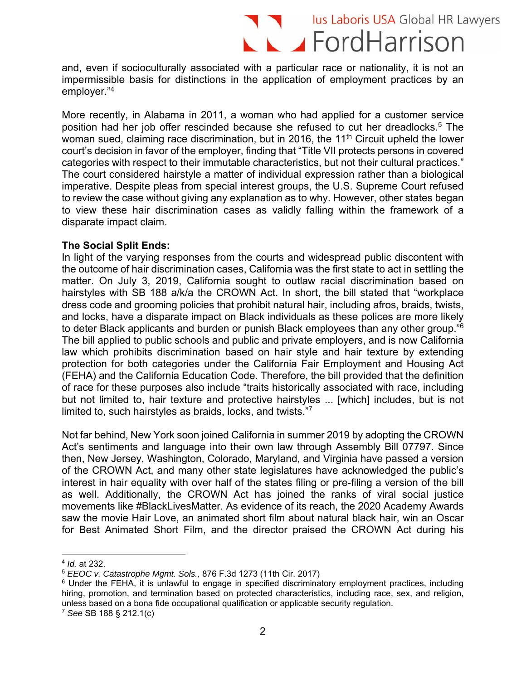# I Valus Laboris USA Global HR Lawyers  $\blacktriangle$   $\blacktriangle$  FordHarrison

and, even if socioculturally associated with a particular race or nationality, it is not an impermissible basis for distinctions in the application of employment practices by an employer."4

More recently, in Alabama in 2011, a woman who had applied for a customer service position had her job offer rescinded because she refused to cut her dreadlocks.5 The woman sued, claiming race discrimination, but in 2016, the  $11<sup>th</sup>$  Circuit upheld the lower court's decision in favor of the employer, finding that "Title VII protects persons in covered categories with respect to their immutable characteristics, but not their cultural practices." The court considered hairstyle a matter of individual expression rather than a biological imperative. Despite pleas from special interest groups, the U.S. Supreme Court refused to review the case without giving any explanation as to why. However, other states began to view these hair discrimination cases as validly falling within the framework of a disparate impact claim.

#### **The Social Split Ends:**

In light of the varying responses from the courts and widespread public discontent with the outcome of hair discrimination cases, California was the first state to act in settling the matter. On July 3, 2019, California sought to outlaw racial discrimination based on hairstyles with SB 188 a/k/a the CROWN Act. In short, the bill stated that "workplace dress code and grooming policies that prohibit natural hair, including afros, braids, twists, and locks, have a disparate impact on Black individuals as these polices are more likely to deter Black applicants and burden or punish Black employees than any other group."6 The bill applied to public schools and public and private employers, and is now California law which prohibits discrimination based on hair style and hair texture by extending protection for both categories under the California Fair Employment and Housing Act (FEHA) and the California Education Code. Therefore, the bill provided that the definition of race for these purposes also include "traits historically associated with race, including but not limited to, hair texture and protective hairstyles ... [which] includes, but is not limited to, such hairstyles as braids, locks, and twists."7

Not far behind, New York soon joined California in summer 2019 by adopting the CROWN Act's sentiments and language into their own law through Assembly Bill 07797. Since then, New Jersey, Washington, Colorado, Maryland, and Virginia have passed a version of the CROWN Act, and many other state legislatures have acknowledged the public's interest in hair equality with over half of the states filing or pre-filing a version of the bill as well. Additionally, the CROWN Act has joined the ranks of viral social justice movements like #BlackLivesMatter. As evidence of its reach, the 2020 Academy Awards saw the movie Hair Love, an animated short film about natural black hair, win an Oscar for Best Animated Short Film, and the director praised the CROWN Act during his

 $\overline{a}$ <sup>4</sup> *Id.* at 232.

<sup>5</sup> *EEOC v. Catastrophe Mgmt. Sols.,* 876 F.3d 1273 (11th Cir. 2017)

<sup>&</sup>lt;sup>6</sup> Under the FEHA, it is unlawful to engage in specified discriminatory employment practices, including hiring, promotion, and termination based on protected characteristics, including race, sex, and religion, unless based on a bona fide occupational qualification or applicable security regulation.

<sup>7</sup> *See* SB 188 § 212.1(c)